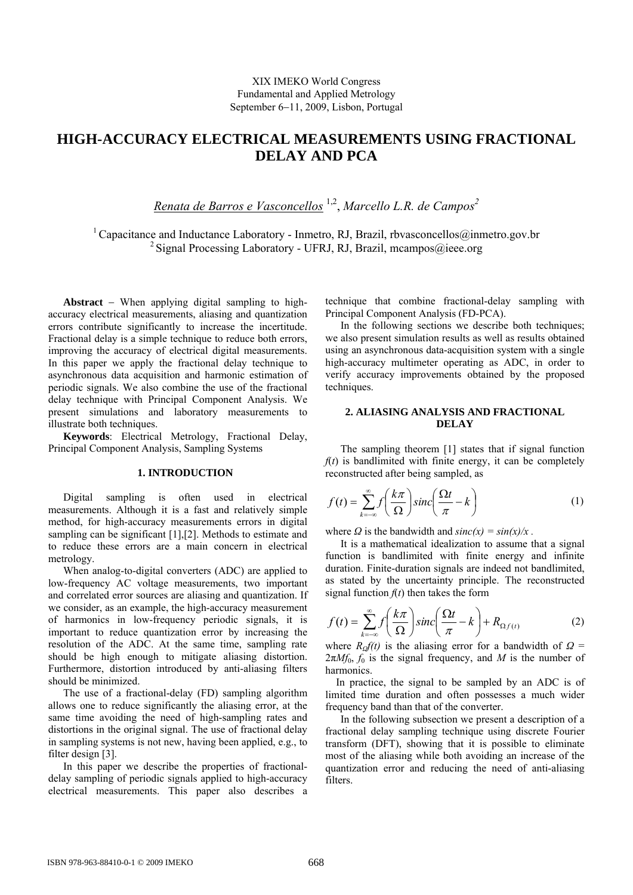# XIX IMEKO World Congress Fundamental and Applied Metrology September 6−11, 2009, Lisbon, Portugal

# **HIGH-ACCURACY ELECTRICAL MEASUREMENTS USING FRACTIONAL DELAY AND PCA**

*Renata de Barros e Vasconcellos* 1,2, *Marcello L.R. de Campos2* 

<sup>1</sup> Capacitance and Inductance Laboratory - Inmetro, RJ, Brazil, rbvasconcellos@inmetro.gov.br <sup>2</sup> Signal Processing Laboratory - UFRJ, RJ, Brazil, mcampos@ieee.org

**Abstract** − When applying digital sampling to highaccuracy electrical measurements, aliasing and quantization errors contribute significantly to increase the incertitude. Fractional delay is a simple technique to reduce both errors, improving the accuracy of electrical digital measurements. In this paper we apply the fractional delay technique to asynchronous data acquisition and harmonic estimation of periodic signals. We also combine the use of the fractional delay technique with Principal Component Analysis. We present simulations and laboratory measurements to illustrate both techniques.

**Keywords**: Electrical Metrology, Fractional Delay, Principal Component Analysis, Sampling Systems

# **1. INTRODUCTION**

Digital sampling is often used in electrical measurements. Although it is a fast and relatively simple method, for high-accuracy measurements errors in digital sampling can be significant [1],[2]. Methods to estimate and to reduce these errors are a main concern in electrical metrology.

When analog-to-digital converters (ADC) are applied to low-frequency AC voltage measurements, two important and correlated error sources are aliasing and quantization. If we consider, as an example, the high-accuracy measurement of harmonics in low-frequency periodic signals, it is important to reduce quantization error by increasing the resolution of the ADC. At the same time, sampling rate should be high enough to mitigate aliasing distortion. Furthermore, distortion introduced by anti-aliasing filters should be minimized.

The use of a fractional-delay (FD) sampling algorithm allows one to reduce significantly the aliasing error, at the same time avoiding the need of high-sampling rates and distortions in the original signal. The use of fractional delay in sampling systems is not new, having been applied, e.g., to filter design [3].

In this paper we describe the properties of fractionaldelay sampling of periodic signals applied to high-accuracy electrical measurements. This paper also describes a

technique that combine fractional-delay sampling with Principal Component Analysis (FD-PCA).

In the following sections we describe both techniques; we also present simulation results as well as results obtained using an asynchronous data-acquisition system with a single high-accuracy multimeter operating as ADC, in order to verify accuracy improvements obtained by the proposed techniques.

# **2. ALIASING ANALYSIS AND FRACTIONAL DELAY**

The sampling theorem [1] states that if signal function  $f(t)$  is bandlimited with finite energy, it can be completely reconstructed after being sampled, as

$$
f(t) = \sum_{k=-\infty}^{\infty} f\left(\frac{k\pi}{\Omega}\right) \text{sinc}\left(\frac{\Omega t}{\pi} - k\right) \tag{1}
$$

where *Q* is the bandwidth and  $sinc(x) = sin(x)/x$ .

It is a mathematical idealization to assume that a signal function is bandlimited with finite energy and infinite duration. Finite-duration signals are indeed not bandlimited, as stated by the uncertainty principle. The reconstructed signal function  $f(t)$  then takes the form

$$
f(t) = \sum_{k=-\infty}^{\infty} f\left(\frac{k\pi}{\Omega}\right) \operatorname{sinc}\left(\frac{\Omega t}{\pi} - k\right) + R_{\Omega f(t)} \tag{2}
$$

where  $R_Qf(t)$  is the aliasing error for a bandwidth of  $Q =$  $2\pi Mf_0$ ,  $f_0$  is the signal frequency, and M is the number of harmonics.

 In practice, the signal to be sampled by an ADC is of limited time duration and often possesses a much wider frequency band than that of the converter.

In the following subsection we present a description of a fractional delay sampling technique using discrete Fourier transform (DFT), showing that it is possible to eliminate most of the aliasing while both avoiding an increase of the quantization error and reducing the need of anti-aliasing filters.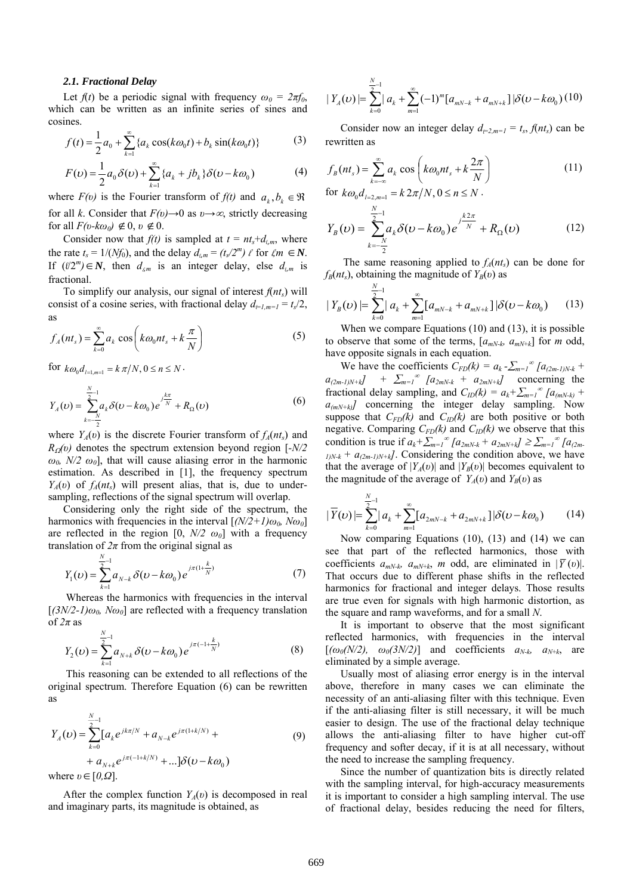## *2.1. Fractional Delay*

Let  $f(t)$  be a periodic signal with frequency  $\omega_0 = 2\pi f_0$ , which can be written as an infinite series of sines and cosines.

$$
f(t) = \frac{1}{2}a_0 + \sum_{k=1}^{\infty} \{a_k \cos(k\omega_0 t) + b_k \sin(k\omega_0 t)\}\tag{3}
$$

$$
F(\nu) = \frac{1}{2}a_0 \delta(\nu) + \sum_{k=1}^{\infty} \{a_k + jb_k\} \delta(\nu - k\omega_0)
$$
 (4)

where  $F(v)$  is the Fourier transform of  $f(t)$  and  $a_k, b_k \in \Re$ for all *k*. Consider that  $F(v) \rightarrow 0$  as  $v \rightarrow \infty$ , strictly decreasing for all  $F(v - k\omega_0) \notin 0$ ,  $v \notin 0$ .

Consider now that  $f(t)$  is sampled at  $t = nt_s + d_{\ell,m}$ , where the rate  $t_s = 1/(Nf_0)$ , and the delay  $d_{\ell m} = (t_s/2^m)$   $\ell$  for  $\ell m \in \mathbb{N}$ . If  $(\ell/2^m) \in N$ , then  $d_{\ell,m}$  is an integer delay, else  $d_{\ell,m}$  is fractional.

To simplify our analysis, our signal of interest  $f(nt<sub>s</sub>)$  will consist of a cosine series, with fractional delay  $d_{\in I, m=1} = t_s/2$ , as

$$
f_A(nt_s) = \sum_{k=0}^{\infty} a_k \cos\left(k\omega_0 nt_s + k\frac{\pi}{N}\right)
$$
 (5)

for  $k\omega_0 d_{l-1,m-1} = k \pi/N, 0 \le n \le N$ .

$$
Y_{A}(v) = \sum_{k=-\frac{N}{2}}^{\frac{N}{2}-1} a_{k} \delta(v - k\omega_{0}) e^{-\frac{k\pi}{N}} + R_{\Omega}(v)
$$
 (6)

where  $Y_A(v)$  is the discrete Fourier transform of  $f_A(nt_s)$  and  $R_{\Omega}(v)$  denotes the spectrum extension beyond region [*-N/2*  $ω$ <sup>*0, N/2 ω*<sub>0</sub><sup>*o*</sup>], that will cause aliasing error in the harmonic</sup> estimation. As described in [1], the frequency spectrum  $Y_A(v)$  of  $f_A(nt_s)$  will present alias, that is, due to undersampling, reflections of the signal spectrum will overlap.

Considering only the right side of the spectrum, the harmonics with frequencies in the interval  $\left[\frac{N}{2}+1\right]\omega_0$ ,  $N\omega_0$ are reflected in the region  $[0, N/2, \omega_0]$  with a frequency translation of  $2\pi$  from the original signal as

$$
Y_1(\nu) = \sum_{k=1}^{N-1} a_{N-k} \delta(\nu - k\omega_0) e^{j\pi(1 + \frac{k}{N})}
$$
 (7)

 Whereas the harmonics with frequencies in the interval  $[(3N/2-1)\omega_0, N\omega_0]$  are reflected with a frequency translation of  $2\pi$  as

$$
Y_2(\nu) = \sum_{k=1}^{N-1} a_{N+k} \delta(\nu - k\omega_0) e^{j\pi(-1 + \frac{k}{N})}
$$
 (8)

 This reasoning can be extended to all reflections of the original spectrum. Therefore Equation (6) can be rewritten as

$$
Y_A(\nu) = \sum_{k=0}^{N-1} [a_k e^{jk\pi/N} + a_{N-k} e^{j\pi(1+k/N)} + a_{N+k} e^{j\pi(-1+k/N)} + \dots] \delta(\nu - k\omega_0)
$$
\n(9)

where *υ*∈[*0,Ω*].

After the complex function  $Y_A(v)$  is decomposed in real and imaginary parts, its magnitude is obtained, as

$$
|Y_A(v)| = \sum_{k=0}^{\frac{N}{2}-1} |a_k + \sum_{m=1}^{\infty} (-1)^m [a_{mN-k} + a_{mN+k}] |\delta(v - k\omega_0) (10)|
$$

Consider now an integer delay  $d_{\varepsilon^2, m=1} = t_s$ ,  $f(nt_s)$  can be rewritten as

$$
f_B(nt_s) = \sum_{k=-\infty}^{\infty} a_k \cos\left(k\omega_0 nt_s + k\frac{2\pi}{N}\right)
$$
 (11)

 $f(x) = K\omega_0 a_{l=2,m=1} = K 2\pi / N, 0 \le n \le N$ .

*N*

$$
Y_B(v) = \sum_{k=-\frac{N}{2}}^{\frac{N}{2}-1} a_k \delta(v - k\omega_0) e^{-\frac{jk2\pi}{N}} + R_{\Omega}(v)
$$
 (12)

The same reasoning applied to  $f_A(nt_s)$  can be done for  $f_B(nt_s)$ , obtaining the magnitude of  $Y_B(v)$  as

$$
|Y_B(v)| = \sum_{k=0}^{N} |a_k + \sum_{m=1}^{\infty} [a_{mN-k} + a_{mN+k}]|\delta(v - k\omega_0)
$$
 (13)

When we compare Equations (10) and (13), it is possible to observe that some of the terms,  $[a_{mN+k}, a_{mN+k}]$  for *m* odd, have opposite signals in each equation.

We have the coefficients  $C_{FD}(k) = a_k - \sum_{m=1}^{\infty} \left[ a_{(2m-1)N-k} + a_{(2m-1)N-k} \right]$  $a_{(2m-1)N+k}$  +  $\sum_{m=1}^{\infty}$   $[a_{2mN-k} + a_{2mN+k}]$  concerning the fractional delay sampling, and  $C_{ID}(k) = a_k + \sum_{m=1}^{\infty} [a_{(mN-k)} +$  $a_{(mN+k)}$  concerning the integer delay sampling. Now suppose that  $C_{FD}(k)$  and  $C_{ID}(k)$  are both positive or both negative. Comparing  $C_{FD}(k)$  and  $C_{ID}(k)$  we observe that this condition is true if  $a_k + \sum_{m=1}^{\infty} [a_{2m}N_k + a_{2m}N_k] \geq \sum_{m=1}^{\infty} [a_{2m}N_k + a_{2m}N_k]$  $1/N-k$  +  $a_{(2m-1)N+k}$ . Considering the condition above, we have that the average of  $|Y_A(v)|$  and  $|Y_B(v)|$  becomes equivalent to the magnitude of the average of  $Y_A(v)$  and  $Y_B(v)$  as

$$
|\overline{Y}(v)| = \sum_{k=0}^{\frac{N}{2}-1} |a_k + \sum_{m=1}^{\infty} [a_{2mN-k} + a_{2mN+k}]|\delta(v - k\omega_0)
$$
 (14)

Now comparing Equations (10), (13) and (14) we can see that part of the reflected harmonics, those with coefficients  $a_{mN+k}$ ,  $a_{mN+k}$ , *m* odd, are eliminated in  $|\overline{Y}(v)|$ . That occurs due to different phase shifts in the reflected harmonics for fractional and integer delays. Those results are true even for signals with high harmonic distortion, as the square and ramp waveforms, and for a small *N*.

It is important to observe that the most significant reflected harmonics, with frequencies in the interval  $[(\omega_0(N/2), \omega_0(3N/2)]$  and coefficients  $a_{N-k}$ ,  $a_{N+k}$ , are eliminated by a simple average.

Usually most of aliasing error energy is in the interval above, therefore in many cases we can eliminate the necessity of an anti-aliasing filter with this technique. Even if the anti-aliasing filter is still necessary, it will be much easier to design. The use of the fractional delay technique allows the anti-aliasing filter to have higher cut-off frequency and softer decay, if it is at all necessary, without the need to increase the sampling frequency.

Since the number of quantization bits is directly related with the sampling interval, for high-accuracy measurements it is important to consider a high sampling interval. The use of fractional delay, besides reducing the need for filters,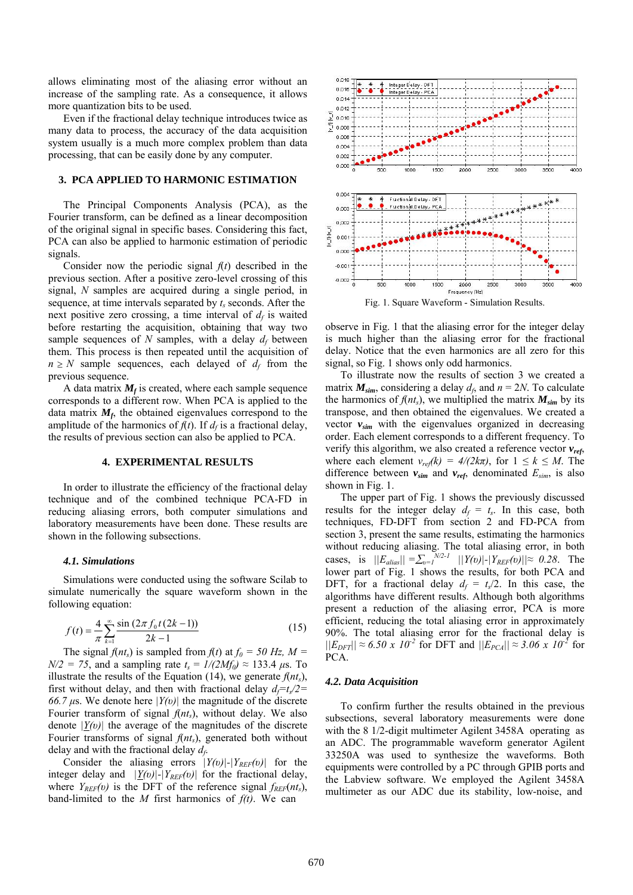allows eliminating most of the aliasing error without an increase of the sampling rate. As a consequence, it allows more quantization bits to be used.

Even if the fractional delay technique introduces twice as many data to process, the accuracy of the data acquisition system usually is a much more complex problem than data processing, that can be easily done by any computer.

## **3. PCA APPLIED TO HARMONIC ESTIMATION**

The Principal Components Analysis (PCA), as the Fourier transform, can be defined as a linear decomposition of the original signal in specific bases. Considering this fact, PCA can also be applied to harmonic estimation of periodic signals.

Consider now the periodic signal  $f(t)$  described in the previous section. After a positive zero-level crossing of this signal, *N* samples are acquired during a single period, in sequence, at time intervals separated by  $t_s$  seconds. After the next positive zero crossing, a time interval of  $d_f$  is waited before restarting the acquisition, obtaining that way two sample sequences of N samples, with a delay  $d_f$  between them. This process is then repeated until the acquisition of  $n \geq N$  sample sequences, each delayed of  $d_f$  from the previous sequence.

A data matrix  $M_f$  is created, where each sample sequence corresponds to a different row. When PCA is applied to the data matrix  $M_f$ , the obtained eigenvalues correspond to the amplitude of the harmonics of  $f(t)$ . If  $d_f$  is a fractional delay, the results of previous section can also be applied to PCA.

## **4. EXPERIMENTAL RESULTS**

In order to illustrate the efficiency of the fractional delay technique and of the combined technique PCA-FD in reducing aliasing errors, both computer simulations and laboratory measurements have been done. These results are shown in the following subsections.

#### *4.1. Simulations*

Simulations were conducted using the software Scilab to simulate numerically the square waveform shown in the following equation:

$$
f(t) = \frac{4}{\pi} \sum_{k=1}^{\infty} \frac{\sin(2\pi f_0 t (2k-1))}{2k-1}
$$
 (15)

The signal  $f(nt_s)$  is sampled from  $f(t)$  at  $f_0 = 50$  Hz,  $M =$  $N/2 = 75$ , and a sampling rate  $t_s = 1/(2Mf_0) \approx 133.4 \mu$ s. To illustrate the results of the Equation (14), we generate  $f(nt<sub>s</sub>)$ , first without delay, and then with fractional delay  $d_f = t_s/2$ *66.7 μ*s. We denote here *|Y(υ)|* the magnitude of the discrete Fourier transform of signal  $f(nt_s)$ , without delay. We also denote *|Y(υ)|* the average of the magnitudes of the discrete Fourier transforms of signal  $f(nt_s)$ , generated both without delay and with the fractional delay *df*.

Consider the aliasing errors  $|Y(v)|-|Y_{REF}(v)|$  for the integer delay and  $|Y(v)|-|Y_{REF}(v)|$  for the fractional delay, where  $Y_{REF}(v)$  is the DFT of the reference signal  $f_{REF}(nt_s)$ , band-limited to the *M* first harmonics of *f(t)*. We can



Fig. 1. Square Waveform - Simulation Results.

observe in Fig. 1 that the aliasing error for the integer delay is much higher than the aliasing error for the fractional delay. Notice that the even harmonics are all zero for this signal, so Fig. 1 shows only odd harmonics.

 To illustrate now the results of section 3 we created a matrix  $M_{sim}$ , considering a delay  $d_f$ , and  $n = 2N$ . To calculate the harmonics of  $f(nt_s)$ , we multiplied the matrix  $M_{sim}$  by its transpose, and then obtained the eigenvalues. We created a vector  $v_{sim}$  with the eigenvalues organized in decreasing order. Each element corresponds to a different frequency. To verify this algorithm, we also created a reference vector *vref*, where each element  $v_{ref}(k) = 4/(2k\pi)$ , for  $1 \leq k \leq M$ . The difference between  $v_{sim}$  and  $v_{ref}$ , denominated  $E_{sim}$ , is also shown in Fig. 1.

The upper part of Fig. 1 shows the previously discussed results for the integer delay  $d_f = t_s$ . In this case, both techniques, FD-DFT from section 2 and FD-PCA from section 3, present the same results, estimating the harmonics without reducing aliasing. The total aliasing error, in both cases, is  $||E_{alias}|| = \sum_{v=1}^{N/2-1} ||Y(v)| - |Y_{REF}(v)|| \approx 0.28$ . The lower part of Fig. 1 shows the results, for both PCA and DFT, for a fractional delay  $d_f = t_s/2$ . In this case, the algorithms have different results. Although both algorithms present a reduction of the aliasing error, PCA is more efficient, reducing the total aliasing error in approximately 90%. The total aliasing error for the fractional delay is  $||E_{DFT}|| \approx 6.50 \times 10^{-2}$  for DFT and  $||E_{PCA}|| \approx 3.06 \times 10^{-2}$  for PCA.

## *4.2. Data Acquisition*

To confirm further the results obtained in the previous subsections, several laboratory measurements were done with the 8 1/2-digit multimeter Agilent 3458A operating as an ADC. The programmable waveform generator Agilent 33250A was used to synthesize the waveforms. Both equipments were controlled by a PC through GPIB ports and the Labview software. We employed the Agilent 3458A multimeter as our ADC due its stability, low-noise, and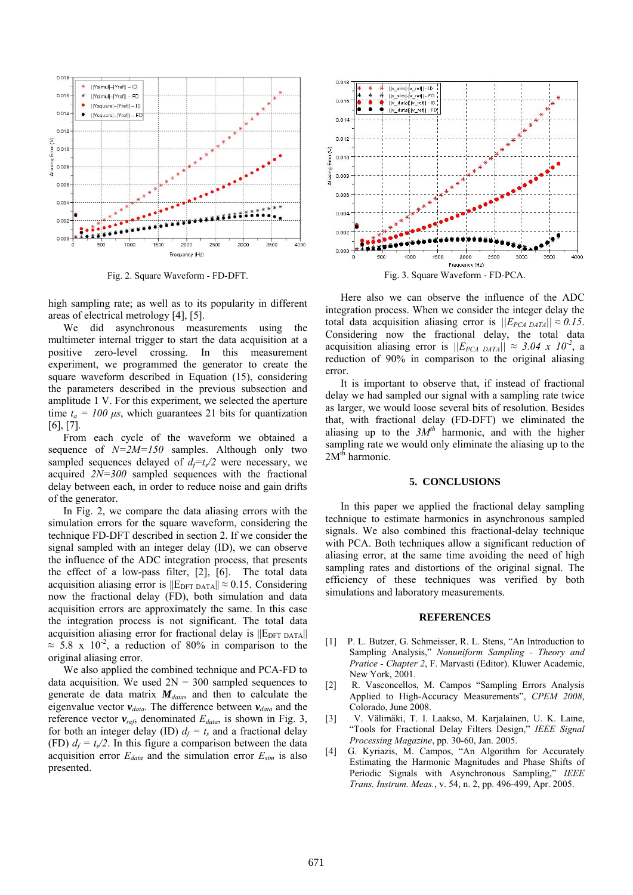

Fig. 2. Square Waveform - FD-DFT.

high sampling rate; as well as to its popularity in different areas of electrical metrology [4], [5].

We did asynchronous measurements using the multimeter internal trigger to start the data acquisition at a positive zero-level crossing. In this measurement experiment, we programmed the generator to create the square waveform described in Equation (15), considering the parameters described in the previous subsection and amplitude 1 V. For this experiment, we selected the aperture time  $t_a = 100 \mu s$ , which guarantees 21 bits for quantization [6], [7].

From each cycle of the waveform we obtained a sequence of *N=2M=150* samples. Although only two sampled sequences delayed of  $d=1/2$  were necessary, we acquired *2N=300* sampled sequences with the fractional delay between each, in order to reduce noise and gain drifts of the generator.

In Fig. 2, we compare the data aliasing errors with the simulation errors for the square waveform, considering the technique FD-DFT described in section 2. If we consider the signal sampled with an integer delay (ID), we can observe the influence of the ADC integration process, that presents the effect of a low-pass filter, [2], [6]. The total data acquisition aliasing error is  $||E_{\text{DFT DATA}}|| \approx 0.15$ . Considering now the fractional delay (FD), both simulation and data acquisition errors are approximately the same. In this case the integration process is not significant. The total data acquisition aliasing error for fractional delay is  $||E_{DFT\;DATA}||$  $\approx$  5.8 x 10<sup>-2</sup>, a reduction of 80% in comparison to the original aliasing error.

We also applied the combined technique and PCA-FD to data acquisition. We used  $2N = 300$  sampled sequences to generate de data matrix  $M_{data}$ , and then to calculate the eigenvalue vector *vdata*. The difference between *vdata* and the reference vector  $v_{ref}$ , denominated  $E_{data}$ , is shown in Fig. 3, for both an integer delay (ID)  $d_f = t_s$  and a fractional delay (FD)  $d_f = t_s/2$ . In this figure a comparison between the data acquisition error  $E_{data}$  and the simulation error  $E_{sim}$  is also presented.



 Here also we can observe the influence of the ADC integration process. When we consider the integer delay the total data acquisition aliasing error is  $||E_{PCA}\text{ }\text{ }\text{ }\text{ }\text{ }\text{ }\text{ }\text{ }\mid 20.15$ . Considering now the fractional delay, the total data acquisition aliasing error is  $||E_{PCA\;DATA}|| \approx 3.04 \times 10^{-2}$ , a reduction of 90% in comparison to the original aliasing error.

It is important to observe that, if instead of fractional delay we had sampled our signal with a sampling rate twice as larger, we would loose several bits of resolution. Besides that, with fractional delay (FD-DFT) we eliminated the aliasing up to the  $3M<sup>th</sup>$  harmonic, and with the higher sampling rate we would only eliminate the aliasing up to the  $2M<sup>th</sup>$  harmonic.

## **5. CONCLUSIONS**

In this paper we applied the fractional delay sampling technique to estimate harmonics in asynchronous sampled signals. We also combined this fractional-delay technique with PCA. Both techniques allow a significant reduction of aliasing error, at the same time avoiding the need of high sampling rates and distortions of the original signal. The efficiency of these techniques was verified by both simulations and laboratory measurements.

## **REFERENCES**

- [1] P. L. Butzer, G. Schmeisser, R. L. Stens, "An Introduction to Sampling Analysis," *Nonuniform Sampling - Theory and Pratice - Chapter 2*, F. Marvasti (Editor). Kluwer Academic, New York, 2001.
- [2] R. Vasconcellos, M. Campos "Sampling Errors Analysis Applied to High-Accuracy Measurements", *CPEM 2008*, Colorado, June 2008.
- [3] V. Välimäki, T. I. Laakso, M. Karjalainen, U. K. Laine, "Tools for Fractional Delay Filters Design," *IEEE Signal Processing Magazine*, pp. 30-60, Jan. 2005.
- [4] G. Kyriazis, M. Campos, "An Algorithm for Accurately Estimating the Harmonic Magnitudes and Phase Shifts of Periodic Signals with Asynchronous Sampling," *IEEE Trans. Instrum. Meas.*, v. 54, n. 2, pp. 496-499, Apr. 2005.